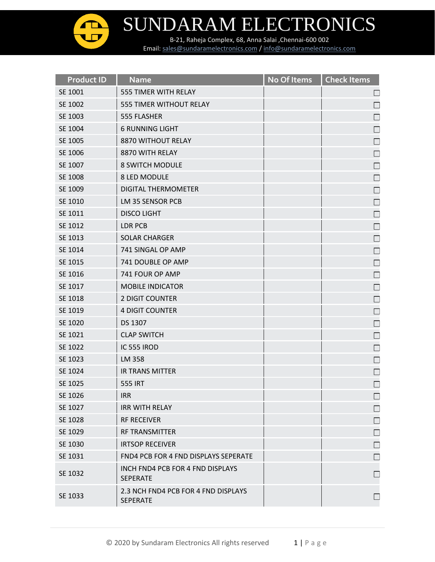

| <b>Product ID</b> | <b>Name</b>                                            | No Of Items | <b>Check Items</b> |
|-------------------|--------------------------------------------------------|-------------|--------------------|
| SE 1001           | 555 TIMER WITH RELAY                                   |             | $\Box$             |
| SE 1002           | 555 TIMER WITHOUT RELAY                                |             | $\Box$             |
| SE 1003           | 555 FLASHER                                            |             | $\Box$             |
| SE 1004           | <b>6 RUNNING LIGHT</b>                                 |             | $\Box$             |
| SE 1005           | 8870 WITHOUT RELAY                                     |             | $\Box$             |
| SE 1006           | 8870 WITH RELAY                                        |             | $\Box$             |
| SE 1007           | <b>8 SWITCH MODULE</b>                                 |             | $\Box$             |
| SE 1008           | 8 LED MODULE                                           |             | $\Box$             |
| SE 1009           | DIGITAL THERMOMETER                                    |             | $\Box$             |
| SE 1010           | LM 35 SENSOR PCB                                       |             | $\Box$             |
| SE 1011           | <b>DISCO LIGHT</b>                                     |             | $\Box$             |
| SE 1012           | <b>LDR PCB</b>                                         |             | $\Box$             |
| SE 1013           | <b>SOLAR CHARGER</b>                                   |             | $\Box$             |
| SE 1014           | 741 SINGAL OP AMP                                      |             | $\Box$             |
| SE 1015           | 741 DOUBLE OP AMP                                      |             | $\Box$             |
| SE 1016           | 741 FOUR OP AMP                                        |             | $\Box$             |
| SE 1017           | <b>MOBILE INDICATOR</b>                                |             | $\Box$             |
| SE 1018           | 2 DIGIT COUNTER                                        |             |                    |
| SE 1019           | <b>4 DIGIT COUNTER</b>                                 |             | $\Box$             |
| SE 1020           | DS 1307                                                |             | $\Box$             |
| SE 1021           | <b>CLAP SWITCH</b>                                     |             | $\Box$             |
| SE 1022           | IC 555 IROD                                            |             | $\Box$             |
| SE 1023           | LM 358                                                 |             | $\Box$             |
| SE 1024           | <b>IR TRANS MITTER</b>                                 |             | $\Box$             |
| SE 1025           | 555 IRT                                                |             | $\Box$             |
| SE 1026           | <b>IRR</b>                                             |             |                    |
| SE 1027           | <b>IRR WITH RELAY</b>                                  |             |                    |
| SE 1028           | <b>RF RECEIVER</b>                                     |             |                    |
| SE 1029           | <b>RF TRANSMITTER</b>                                  |             |                    |
| SE 1030           | <b>IRTSOP RECEIVER</b>                                 |             |                    |
| SE 1031           | FND4 PCB FOR 4 FND DISPLAYS SEPERATE                   |             |                    |
| SE 1032           | INCH FND4 PCB FOR 4 FND DISPLAYS<br>SEPERATE           |             |                    |
| SE 1033           | 2.3 NCH FND4 PCB FOR 4 FND DISPLAYS<br><b>SEPERATE</b> |             | $\mathbf{L}$       |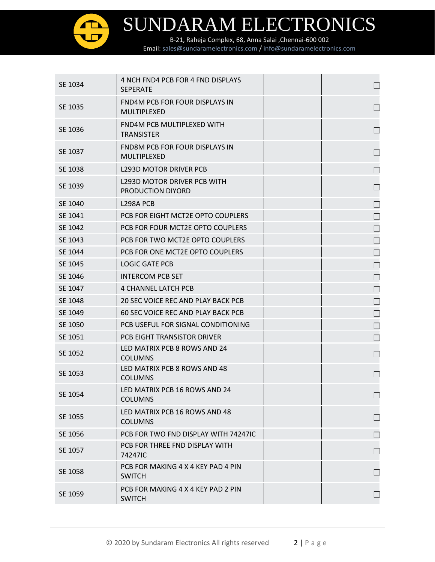

| SE 1034 | 4 NCH FND4 PCB FOR 4 FND DISPLAYS<br><b>SEPERATE</b>    | П              |
|---------|---------------------------------------------------------|----------------|
| SE 1035 | <b>FND4M PCB FOR FOUR DISPLAYS IN</b><br>MULTIPLEXED    | $\Box$         |
| SE 1036 | FND4M PCB MULTIPLEXED WITH<br><b>TRANSISTER</b>         |                |
| SE 1037 | <b>FND8M PCB FOR FOUR DISPLAYS IN</b><br>MULTIPLEXED    | $\Box$         |
| SE 1038 | <b>L293D MOTOR DRIVER PCB</b>                           | $\Box$         |
| SE 1039 | <b>L293D MOTOR DRIVER PCB WITH</b><br>PRODUCTION DIYORD | $\mathbb{R}^n$ |
| SE 1040 | L298A PCB                                               | П              |
| SE 1041 | PCB FOR EIGHT MCT2E OPTO COUPLERS                       | $\Box$         |
| SE 1042 | PCB FOR FOUR MCT2E OPTO COUPLERS                        | $\Box$         |
| SE 1043 | PCB FOR TWO MCT2E OPTO COUPLERS                         | $\Box$         |
| SE 1044 | PCB FOR ONE MCT2E OPTO COUPLERS                         | $\Box$         |
| SE 1045 | <b>LOGIC GATE PCB</b>                                   | П              |
| SE 1046 | <b>INTERCOM PCB SET</b>                                 | $\Box$         |
| SE 1047 | <b>4 CHANNEL LATCH PCB</b>                              | $\Box$         |
| SE 1048 | 20 SEC VOICE REC AND PLAY BACK PCB                      | $\Box$         |
| SE 1049 | 60 SEC VOICE REC AND PLAY BACK PCB                      | $\Box$         |
| SE 1050 | PCB USEFUL FOR SIGNAL CONDITIONING                      | H              |
| SE 1051 | PCB EIGHT TRANSISTOR DRIVER                             | П              |
| SE 1052 | LED MATRIX PCB 8 ROWS AND 24<br><b>COLUMNS</b>          | $\Box$         |
| SE 1053 | LED MATRIX PCB 8 ROWS AND 48<br><b>COLUMNS</b>          | $\Box$         |
| SE 1054 | LED MATRIX PCB 16 ROWS AND 24<br><b>COLUMNS</b>         |                |
| SE 1055 | LED MATRIX PCB 16 ROWS AND 48<br><b>COLUMNS</b>         |                |
| SE 1056 | PCB FOR TWO FND DISPLAY WITH 74247IC                    |                |
| SE 1057 | PCB FOR THREE FND DISPLAY WITH<br>74247IC               |                |
| SE 1058 | PCB FOR MAKING 4 X 4 KEY PAD 4 PIN<br><b>SWITCH</b>     | $\mathbf{L}$   |
| SE 1059 | PCB FOR MAKING 4 X 4 KEY PAD 2 PIN<br><b>SWITCH</b>     |                |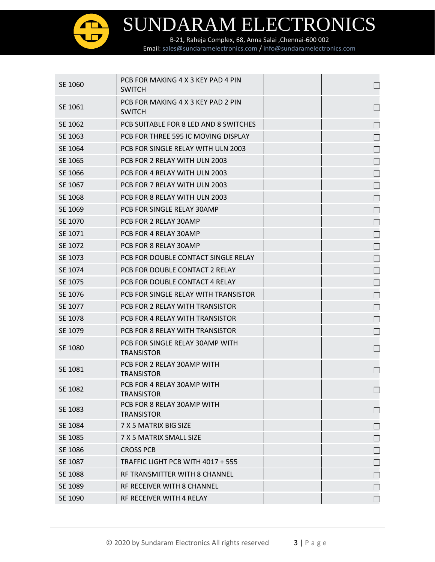

| SE 1060 | PCB FOR MAKING 4 X 3 KEY PAD 4 PIN<br><b>SWITCH</b>  | $\Box$       |
|---------|------------------------------------------------------|--------------|
| SE 1061 | PCB FOR MAKING 4 X 3 KEY PAD 2 PIN<br><b>SWITCH</b>  |              |
| SE 1062 | PCB SUITABLE FOR 8 LED AND 8 SWITCHES                |              |
| SE 1063 | PCB FOR THREE 595 IC MOVING DISPLAY                  |              |
| SE 1064 | PCB FOR SINGLE RELAY WITH ULN 2003                   | $\mathbf{L}$ |
| SE 1065 | PCB FOR 2 RELAY WITH ULN 2003                        | $\Box$       |
| SE 1066 | PCB FOR 4 RELAY WITH ULN 2003                        | $\Box$       |
| SE 1067 | PCB FOR 7 RELAY WITH ULN 2003                        |              |
| SE 1068 | PCB FOR 8 RELAY WITH ULN 2003                        | $\mathbf{L}$ |
| SE 1069 | PCB FOR SINGLE RELAY 30AMP                           |              |
| SE 1070 | PCB FOR 2 RELAY 30AMP                                |              |
| SE 1071 | PCB FOR 4 RELAY 30AMP                                | $\Box$       |
| SE 1072 | PCB FOR 8 RELAY 30AMP                                |              |
| SE 1073 | PCB FOR DOUBLE CONTACT SINGLE RELAY                  | $\Box$       |
| SE 1074 | PCB FOR DOUBLE CONTACT 2 RELAY                       | $\mathbf{L}$ |
| SE 1075 | PCB FOR DOUBLE CONTACT 4 RELAY                       | Ш            |
| SE 1076 | PCB FOR SINGLE RELAY WITH TRANSISTOR                 |              |
| SE 1077 | PCB FOR 2 RELAY WITH TRANSISTOR                      |              |
| SE 1078 | PCB FOR 4 RELAY WITH TRANSISTOR                      | $\Box$       |
| SE 1079 | PCB FOR 8 RELAY WITH TRANSISTOR                      |              |
| SE 1080 | PCB FOR SINGLE RELAY 30AMP WITH<br><b>TRANSISTOR</b> | $\Box$       |
| SE 1081 | PCB FOR 2 RELAY 30AMP WITH<br><b>TRANSISTOR</b>      | $\Box$       |
| SE 1082 | PCB FOR 4 RELAY 30AMP WITH<br>TRANSISTOR             |              |
| SE 1083 | PCB FOR 8 RELAY 30AMP WITH<br><b>TRANSISTOR</b>      |              |
| SE 1084 | 7 X 5 MATRIX BIG SIZE                                |              |
| SE 1085 | 7 X 5 MATRIX SMALL SIZE                              |              |
| SE 1086 | <b>CROSS PCB</b>                                     |              |
| SE 1087 | TRAFFIC LIGHT PCB WITH 4017 + 555                    |              |
| SE 1088 | RF TRANSMITTER WITH 8 CHANNEL                        |              |
| SE 1089 | RF RECEIVER WITH 8 CHANNEL                           |              |
| SE 1090 | RF RECEIVER WITH 4 RELAY                             |              |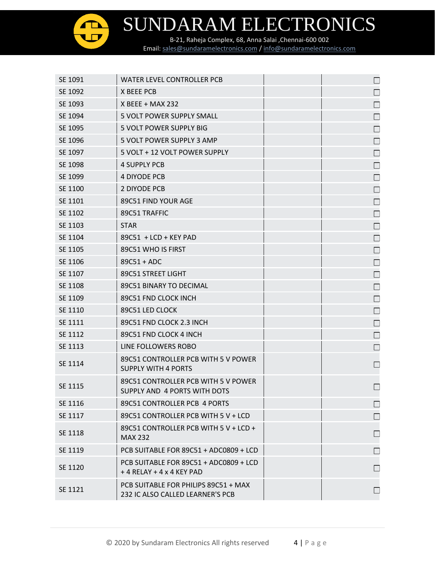SUNDARAM ELECTRONICS B-21, Raheja Complex, 68, Anna Salai ,Chennai-600 002

 $\begin{array}{c} \begin{array}{|c} \hline \hline \hline \hline \hline \hline \hline \end{array} \end{array}$ 

Email: [sales@sundaramelectronics.com](mailto:sales@sundaramelectronics.com) / [info@sundaramelectronics.com](mailto:info@sundaramelectronics.com)

| SE 1091 | WATER LEVEL CONTROLLER PCB                                               | $\Box$       |
|---------|--------------------------------------------------------------------------|--------------|
| SE 1092 | X BEEE PCB                                                               | $\Box$       |
| SE 1093 | X BEEE + MAX 232                                                         | $\Box$       |
| SE 1094 | 5 VOLT POWER SUPPLY SMALL                                                | П            |
| SE 1095 | 5 VOLT POWER SUPPLY BIG                                                  | $\Box$       |
| SE 1096 | 5 VOLT POWER SUPPLY 3 AMP                                                | $\Box$       |
| SE 1097 | 5 VOLT + 12 VOLT POWER SUPPLY                                            | $\Box$       |
| SE 1098 | <b>4 SUPPLY PCB</b>                                                      | $\Box$       |
| SE 1099 | <b>4 DIYODE PCB</b>                                                      | $\Box$       |
| SE 1100 | 2 DIYODE PCB                                                             | $\Box$       |
| SE 1101 | 89C51 FIND YOUR AGE                                                      | $\Box$       |
| SE 1102 | 89C51 TRAFFIC                                                            | $\Box$       |
| SE 1103 | <b>STAR</b>                                                              | $\Box$       |
| SE 1104 | 89C51 + LCD + KEY PAD                                                    | $\Box$       |
| SE 1105 | 89C51 WHO IS FIRST                                                       | $\Box$       |
| SE 1106 | 89C51 + ADC                                                              | $\Box$       |
| SE 1107 | 89C51 STREET LIGHT                                                       | $\Box$       |
| SE 1108 | 89C51 BINARY TO DECIMAL                                                  | $\Box$       |
| SE 1109 | 89C51 FND CLOCK INCH                                                     | $\Box$       |
| SE 1110 | 89C51 LED CLOCK                                                          | $\Box$       |
| SE 1111 | 89C51 FND CLOCK 2.3 INCH                                                 | $\Box$       |
| SE 1112 | 89C51 FND CLOCK 4 INCH                                                   | $\Box$       |
| SE 1113 | LINE FOLLOWERS ROBO                                                      | $\Box$       |
| SE 1114 | 89C51 CONTROLLER PCB WITH 5 V POWER<br><b>SUPPLY WITH 4 PORTS</b>        | $\mathbf{L}$ |
| SE 1115 | 89C51 CONTROLLER PCB WITH 5 V POWER<br>SUPPLY AND 4 PORTS WITH DOTS      | $\Box$       |
| SE 1116 | 89C51 CONTROLLER PCB 4 PORTS                                             |              |
| SE 1117 | 89C51 CONTROLLER PCB WITH 5 V + LCD                                      | $\mathsf{L}$ |
| SE 1118 | 89C51 CONTROLLER PCB WITH 5 V + LCD +<br><b>MAX 232</b>                  | П            |
| SE 1119 | PCB SUITABLE FOR 89C51 + ADC0809 + LCD                                   | П            |
| SE 1120 | PCB SUITABLE FOR 89C51 + ADC0809 + LCD<br>$+4$ RELAY $+4$ x 4 KEY PAD    |              |
| SE 1121 | PCB SUITABLE FOR PHILIPS 89C51 + MAX<br>232 IC ALSO CALLED LEARNER'S PCB |              |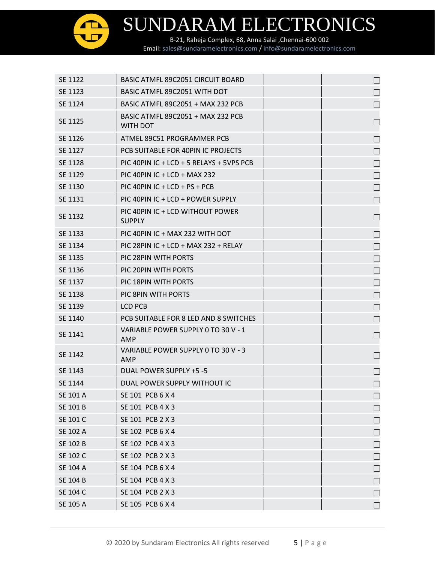

| SE 1122  | <b>BASIC ATMFL 89C2051 CIRCUIT BOARD</b>             | $\vert \ \ \vert$ |
|----------|------------------------------------------------------|-------------------|
| SE 1123  | BASIC ATMFL 89C2051 WITH DOT                         | $\Box$            |
| SE 1124  | BASIC ATMFL 89C2051 + MAX 232 PCB                    | $\Box$            |
| SE 1125  | BASIC ATMFL 89C2051 + MAX 232 PCB<br><b>WITH DOT</b> |                   |
| SE 1126  | ATMEL 89C51 PROGRAMMER PCB                           | $\Box$            |
| SE 1127  | PCB SUITABLE FOR 40PIN IC PROJECTS                   | $\Box$            |
| SE 1128  | PIC 40PIN IC + LCD + 5 RELAYS + 5VPS PCB             |                   |
| SE 1129  | PIC 40PIN IC + LCD + MAX 232                         | $\Box$            |
| SE 1130  | PIC 40PIN IC + LCD + PS + PCB                        | $\Box$            |
| SE 1131  | PIC 40PIN IC + LCD + POWER SUPPLY                    | $\Box$            |
| SE 1132  | PIC 40PIN IC + LCD WITHOUT POWER<br><b>SUPPLY</b>    | $\Box$            |
| SE 1133  | PIC 40PIN IC + MAX 232 WITH DOT                      | $\Box$            |
| SE 1134  | PIC 28PIN IC + LCD + MAX 232 + RELAY                 | $\Box$            |
| SE 1135  | PIC 28PIN WITH PORTS                                 | $\Box$            |
| SE 1136  | PIC 20PIN WITH PORTS                                 | $\Box$            |
| SE 1137  | PIC 18PIN WITH PORTS                                 | П                 |
| SE 1138  | PIC 8PIN WITH PORTS                                  | $\Box$            |
| SE 1139  | <b>LCD PCB</b>                                       | П                 |
| SE 1140  | PCB SUITABLE FOR 8 LED AND 8 SWITCHES                | $\Box$            |
| SE 1141  | VARIABLE POWER SUPPLY 0 TO 30 V - 1<br><b>AMP</b>    | $\Box$            |
| SE 1142  | VARIABLE POWER SUPPLY 0 TO 30 V - 3<br>AMP           |                   |
| SE 1143  | DUAL POWER SUPPLY +5 -5                              | П                 |
| SE 1144  | DUAL POWER SUPPLY WITHOUT IC                         | $\Box$            |
| SE 101 A | SE 101 PCB 6 X 4                                     | $\Box$            |
| SE 101 B | SE 101 PCB 4 X 3                                     |                   |
| SE 101 C | SE 101 PCB 2 X 3                                     |                   |
| SE 102 A | SE 102 PCB 6 X 4                                     |                   |
| SE 102 B | SE 102 PCB 4 X 3                                     |                   |
| SE 102 C | SE 102 PCB 2 X 3                                     |                   |
| SE 104 A | SE 104 PCB 6 X 4                                     | $\Box$            |
| SE 104 B | SE 104 PCB 4 X 3                                     |                   |
| SE 104 C | SE 104 PCB 2 X 3                                     | $\Box$            |
| SE 105 A | SE 105 PCB 6 X 4                                     |                   |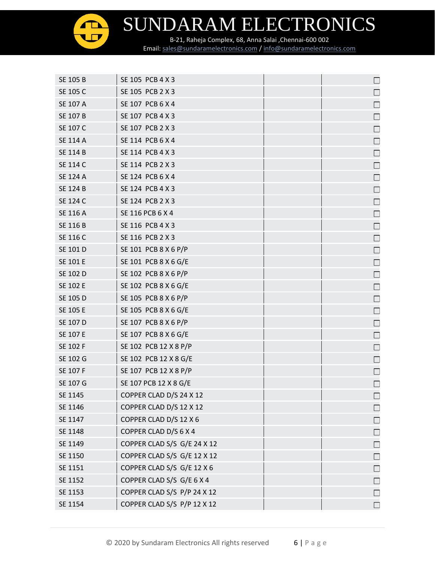B-21, Raheja Complex, 68, Anna Salai ,Chennai-600 002 Email: [sales@sundaramelectronics.com](mailto:sales@sundaramelectronics.com) / [info@sundaramelectronics.com](mailto:info@sundaramelectronics.com)

 $\sqrt{ }$ 

| SE 105 B        | SE 105 PCB 4 X 3            | $\Box$ |
|-----------------|-----------------------------|--------|
| SE 105 C        | SE 105 PCB 2 X 3            | $\Box$ |
| SE 107 A        | SE 107 PCB 6 X 4            | Г      |
| SE 107 B        | SE 107 PCB 4 X 3            |        |
| SE 107 C        | SE 107 PCB 2 X 3            | $\Box$ |
| <b>SE 114 A</b> | SE 114 PCB 6 X 4            | $\Box$ |
| <b>SE 114 B</b> | SE 114 PCB 4 X 3            | $\Box$ |
| SE 114 C        | SE 114 PCB 2 X 3            | $\Box$ |
| SE 124 A        | SE 124 PCB 6 X 4            | $\Box$ |
| <b>SE 124 B</b> | SE 124 PCB 4 X 3            | $\Box$ |
| SE 124 C        | SE 124 PCB 2 X 3            | $\Box$ |
| SE 116 A        | SE 116 PCB 6 X 4            |        |
| SE 116 B        | SE 116 PCB 4 X 3            | $\Box$ |
| SE 116 C        | SE 116 PCB 2 X 3            | $\Box$ |
| SE 101 D        | SE 101 PCB 8 X 6 P/P        | $\Box$ |
| SE 101 E        | SE 101 PCB 8 X 6 G/E        | $\Box$ |
| SE 102 D        | SE 102 PCB 8 X 6 P/P        |        |
| SE 102 E        | SE 102 PCB 8 X 6 G/E        | $\Box$ |
| SE 105 D        | SE 105 PCB 8 X 6 P/P        | $\Box$ |
| SE 105 E        | SE 105 PCB 8 X 6 G/E        | $\Box$ |
| SE 107 D        | SE 107 PCB 8 X 6 P/P        | $\Box$ |
| SE 107 E        | SE 107 PCB 8 X 6 G/E        | $\Box$ |
| SE 102 F        | SE 102 PCB 12 X 8 P/P       | $\Box$ |
| SE 102 G        | SE 102 PCB 12 X 8 G/E       |        |
| SE 107 F        | SE 107 PCB 12 X 8 P/P       | $\Box$ |
| SE 107 G        | SE 107 PCB 12 X 8 G/E       | $\Box$ |
| SE 1145         | COPPER CLAD D/S 24 X 12     |        |
| SE 1146         | COPPER CLAD D/S 12 X 12     |        |
| SE 1147         | COPPER CLAD D/S 12 X 6      |        |
| SE 1148         | COPPER CLAD D/S 6 X 4       |        |
| SE 1149         | COPPER CLAD S/S G/E 24 X 12 |        |
| SE 1150         | COPPER CLAD S/S G/E 12 X 12 |        |
| SE 1151         | COPPER CLAD S/S G/E 12 X 6  |        |
| SE 1152         | COPPER CLAD S/S G/E 6 X 4   |        |
| SE 1153         | COPPER CLAD S/S P/P 24 X 12 |        |
| SE 1154         | COPPER CLAD S/S P/P 12 X 12 |        |